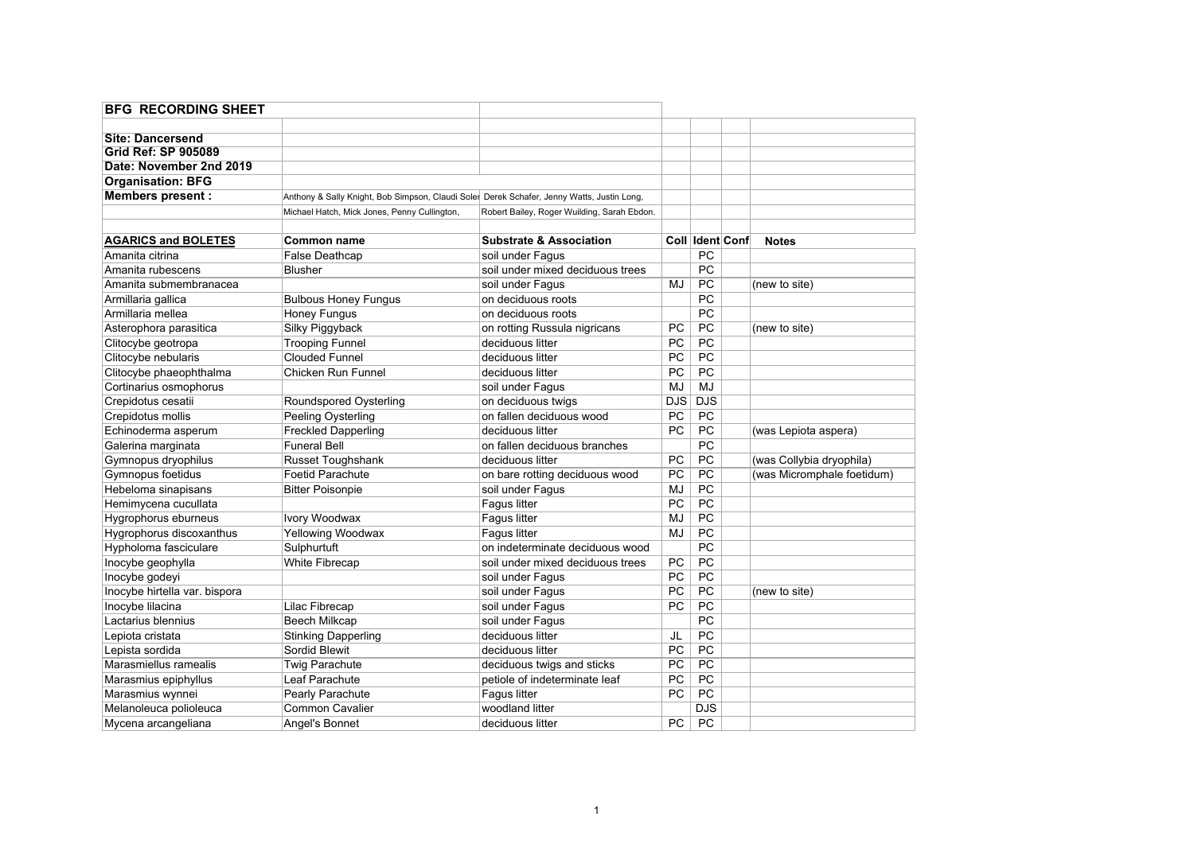| <b>BFG RECORDING SHEET</b>    |                                                                                            |                                             |                 |                   |                            |
|-------------------------------|--------------------------------------------------------------------------------------------|---------------------------------------------|-----------------|-------------------|----------------------------|
|                               |                                                                                            |                                             |                 |                   |                            |
| <b>Site: Dancersend</b>       |                                                                                            |                                             |                 |                   |                            |
| <b>Grid Ref: SP 905089</b>    |                                                                                            |                                             |                 |                   |                            |
| Date: November 2nd 2019       |                                                                                            |                                             |                 |                   |                            |
| <b>Organisation: BFG</b>      |                                                                                            |                                             |                 |                   |                            |
| <b>Members present:</b>       | Anthony & Sally Knight, Bob Simpson, Claudi Soler Derek Schafer, Jenny Watts, Justin Long, |                                             |                 |                   |                            |
|                               | Michael Hatch, Mick Jones, Penny Cullington,                                               | Robert Bailey, Roger Wuilding, Sarah Ebdon. |                 |                   |                            |
|                               |                                                                                            |                                             |                 |                   |                            |
| <b>AGARICS and BOLETES</b>    | <b>Common name</b>                                                                         | <b>Substrate &amp; Association</b>          |                 | Coll   Ident Conf | <b>Notes</b>               |
| Amanita citrina               | <b>False Deathcap</b>                                                                      | soil under Fagus                            |                 | PC                |                            |
| Amanita rubescens             | <b>Blusher</b>                                                                             | soil under mixed deciduous trees            |                 | PC                |                            |
| Amanita submembranacea        |                                                                                            | soil under Faqus                            | MJ              | PC                | (new to site)              |
| Armillaria gallica            | <b>Bulbous Honey Fungus</b>                                                                | on deciduous roots                          |                 | PC                |                            |
| Armillaria mellea             | <b>Honey Fungus</b>                                                                        | on deciduous roots                          |                 | $\overline{PC}$   |                            |
| Asterophora parasitica        | Silky Piggyback                                                                            | on rotting Russula nigricans                | PC              | PC                | (new to site)              |
| Clitocybe geotropa            | <b>Trooping Funnel</b>                                                                     | deciduous litter                            | $\overline{PC}$ | PC                |                            |
| Clitocybe nebularis           | <b>Clouded Funnel</b>                                                                      | deciduous litter                            | PC              | PC                |                            |
| Clitocybe phaeophthalma       | <b>Chicken Run Funnel</b>                                                                  | deciduous litter                            | $\overline{PC}$ | PC                |                            |
| Cortinarius osmophorus        |                                                                                            | soil under Fagus                            | MJ              | MJ                |                            |
| Crepidotus cesatii            | Roundspored Oysterling                                                                     | on deciduous twigs                          | <b>DJS</b>      | <b>DJS</b>        |                            |
| Crepidotus mollis             | Peeling Oysterling                                                                         | on fallen deciduous wood                    | PC              | PC                |                            |
| Echinoderma asperum           | <b>Freckled Dapperling</b>                                                                 | deciduous litter                            | PC              | PC                | (was Lepiota aspera)       |
| Galerina marginata            | <b>Funeral Bell</b>                                                                        | on fallen deciduous branches                |                 | $\overline{PC}$   |                            |
| Gymnopus dryophilus           | <b>Russet Toughshank</b>                                                                   | deciduous litter                            | PC              | PC                | (was Collybia dryophila)   |
| Gymnopus foetidus             | Foetid Parachute                                                                           | on bare rotting deciduous wood              | $\overline{PC}$ | PC                | (was Micromphale foetidum) |
| Hebeloma sinapisans           | <b>Bitter Poisonpie</b>                                                                    | soil under Faqus                            | MJ              | PC                |                            |
| Hemimycena cucullata          |                                                                                            | <b>Fagus litter</b>                         | $\overline{PC}$ | PC                |                            |
| Hygrophorus eburneus          | Ivory Woodwax                                                                              | Fagus litter                                | MJ              | PC                |                            |
| Hygrophorus discoxanthus      | <b>Yellowing Woodwax</b>                                                                   | Fagus litter                                | MJ              | $\overline{PC}$   |                            |
| Hypholoma fasciculare         | Sulphurtuft                                                                                | on indeterminate deciduous wood             |                 | PC                |                            |
| Inocybe geophylla             | <b>White Fibrecap</b>                                                                      | soil under mixed deciduous trees            | $\overline{PC}$ | PC                |                            |
| Inocybe godeyi                |                                                                                            | soil under Faqus                            | PC              | PC                |                            |
| Inocybe hirtella var. bispora |                                                                                            | soil under Fagus                            | PC              | $\overline{PC}$   | (new to site)              |
| Inocybe lilacina              | Lilac Fibrecap                                                                             | soil under Fagus                            | PC              | PC                |                            |
| Lactarius blennius            | Beech Milkcap                                                                              | soil under Fagus                            |                 | PC                |                            |
| Lepiota cristata              | <b>Stinking Dapperling</b>                                                                 | deciduous litter                            | JL              | PC                |                            |
| Lepista sordida               | Sordid Blewit                                                                              | deciduous litter                            | PC              | PC                |                            |
| Marasmiellus ramealis         | <b>Twig Parachute</b>                                                                      | deciduous twigs and sticks                  | $\overline{PC}$ | PC                |                            |
| Marasmius epiphyllus          | Leaf Parachute                                                                             | petiole of indeterminate leaf               | PC              | PC                |                            |
| Marasmius wynnei              | Pearly Parachute                                                                           | Fagus litter                                | $\overline{PC}$ | PC                |                            |
| Melanoleuca polioleuca        | Common Cavalier                                                                            | woodland litter                             |                 | <b>DJS</b>        |                            |
| Mycena arcangeliana           | Angel's Bonnet                                                                             | deciduous litter                            | PC              | PC                |                            |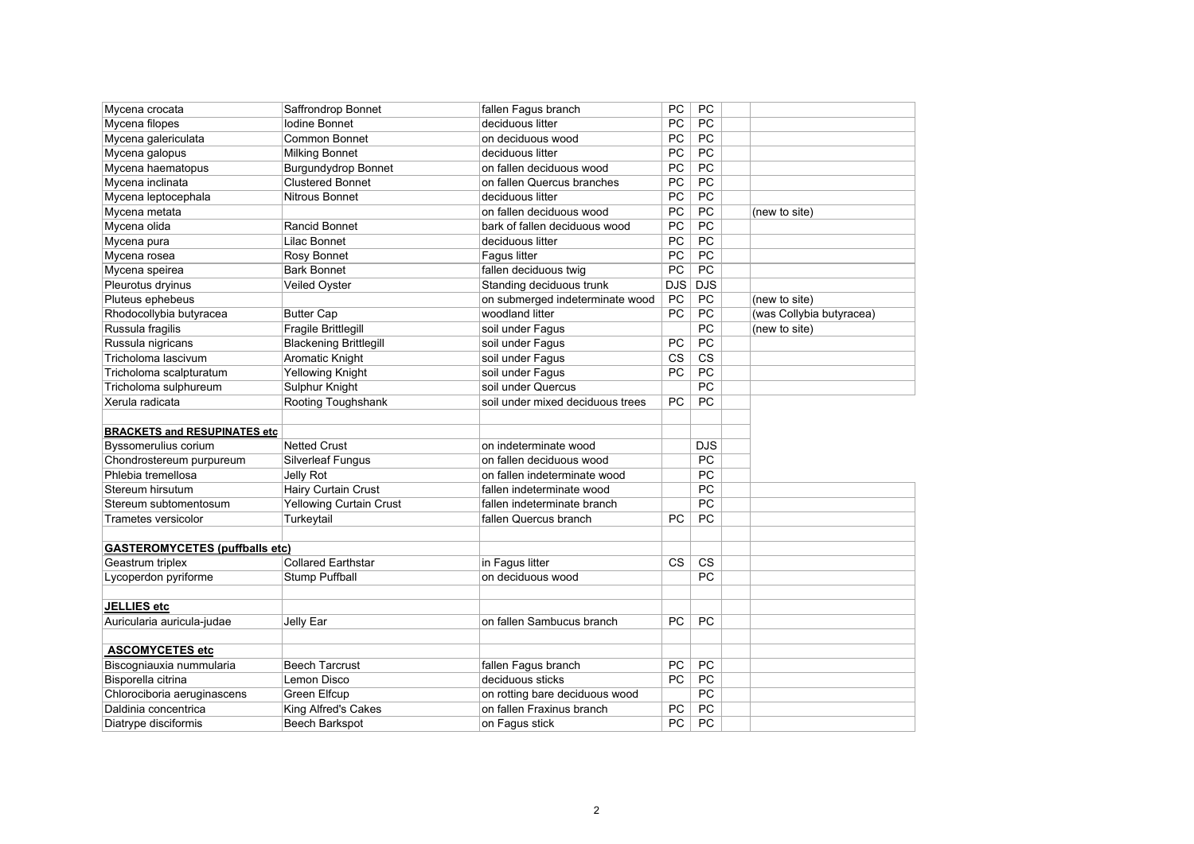| Mycena crocata                        | Saffrondrop Bonnet             | fallen Fagus branch              | PC         | PC         |                          |
|---------------------------------------|--------------------------------|----------------------------------|------------|------------|--------------------------|
| Mycena filopes                        | <b>Iodine Bonnet</b>           | deciduous litter                 | PC         | <b>PC</b>  |                          |
| Mycena galericulata                   | <b>Common Bonnet</b>           | on deciduous wood                | PC         | PC         |                          |
| Mycena galopus                        | <b>Milking Bonnet</b>          | deciduous litter                 | PC         | PC         |                          |
| Mycena haematopus                     | <b>Burgundydrop Bonnet</b>     | on fallen deciduous wood         | <b>PC</b>  | PC         |                          |
| Mycena inclinata                      | <b>Clustered Bonnet</b>        | on fallen Quercus branches       | PC         | PC         |                          |
| Mycena leptocephala                   | Nitrous Bonnet                 | deciduous litter                 | PC         | PC         |                          |
| Mycena metata                         |                                | on fallen deciduous wood         | PC         | PC         | (new to site)            |
| Mycena olida                          | <b>Rancid Bonnet</b>           | bark of fallen deciduous wood    | <b>PC</b>  | <b>PC</b>  |                          |
| Mycena pura                           | Lilac Bonnet                   | deciduous litter                 | PC         | PC         |                          |
| Mycena rosea                          | Rosy Bonnet                    | Fagus litter                     | PC         | PC         |                          |
| Mycena speirea                        | <b>Bark Bonnet</b>             | fallen deciduous twig            | PC         | PC         |                          |
| Pleurotus dryinus                     | <b>Veiled Oyster</b>           | Standing deciduous trunk         | <b>DJS</b> | <b>DJS</b> |                          |
| Pluteus ephebeus                      |                                | on submerged indeterminate wood  | PC         | PC         | (new to site)            |
| Rhodocollybia butyracea               | <b>Butter Cap</b>              | woodland litter                  | PC         | PC         | (was Collybia butyracea) |
| Russula fragilis                      | Fragile Brittlegill            | soil under Fagus                 |            | PC         | (new to site)            |
| Russula nigricans                     | <b>Blackening Brittlegill</b>  | soil under Fagus                 | PC         | PC         |                          |
| Tricholoma lascivum                   | Aromatic Knight                | soil under Fagus                 | <b>CS</b>  | CS         |                          |
| Tricholoma scalpturatum               | Yellowing Knight               | soil under Fagus                 | PC         | <b>PC</b>  |                          |
| Tricholoma sulphureum                 | Sulphur Knight                 | soil under Quercus               |            | PC         |                          |
| Xerula radicata                       | Rooting Toughshank             | soil under mixed deciduous trees | PC         | PC         |                          |
|                                       |                                |                                  |            |            |                          |
| <b>BRACKETS and RESUPINATES etc</b>   |                                |                                  |            |            |                          |
| Byssomerulius corium                  | <b>Netted Crust</b>            | on indeterminate wood            |            | <b>DJS</b> |                          |
| Chondrostereum purpureum              | <b>Silverleaf Fungus</b>       | on fallen deciduous wood         |            | <b>PC</b>  |                          |
| Phlebia tremellosa                    | Jelly Rot                      | on fallen indeterminate wood     |            | PC         |                          |
| Stereum hirsutum                      | Hairy Curtain Crust            | fallen indeterminate wood        |            | PC         |                          |
| Stereum subtomentosum                 | <b>Yellowing Curtain Crust</b> | fallen indeterminate branch      |            | PC         |                          |
| <b>Trametes versicolor</b>            | Turkeytail                     | fallen Quercus branch            | PC         | PC         |                          |
|                                       |                                |                                  |            |            |                          |
| <b>GASTEROMYCETES (puffballs etc)</b> |                                |                                  |            |            |                          |
| Geastrum triplex                      | <b>Collared Earthstar</b>      | in Fagus litter                  | CS         | <b>CS</b>  |                          |
| Lycoperdon pyriforme                  | Stump Puffball                 | on deciduous wood                |            | <b>PC</b>  |                          |
|                                       |                                |                                  |            |            |                          |
| <b>JELLIES</b> etc                    |                                |                                  |            |            |                          |
| Auricularia auricula-judae            | Jelly Ear                      | on fallen Sambucus branch        | PC         | PC         |                          |
|                                       |                                |                                  |            |            |                          |
| <b>ASCOMYCETES etc</b>                |                                |                                  |            |            |                          |
| Biscogniauxia nummularia              | <b>Beech Tarcrust</b>          | fallen Fagus branch              | PC         | PC         |                          |
| Bisporella citrina                    | Lemon Disco                    | deciduous sticks                 | PC         | PC         |                          |
| Chlorociboria aeruginascens           | Green Elfcup                   | on rotting bare deciduous wood   |            | PC         |                          |
| Daldinia concentrica                  | King Alfred's Cakes            | on fallen Fraxinus branch        | PC         | PC         |                          |
|                                       |                                |                                  |            |            |                          |
| Diatrype disciformis                  | Beech Barkspot                 | on Fagus stick                   | PC         | PC         |                          |